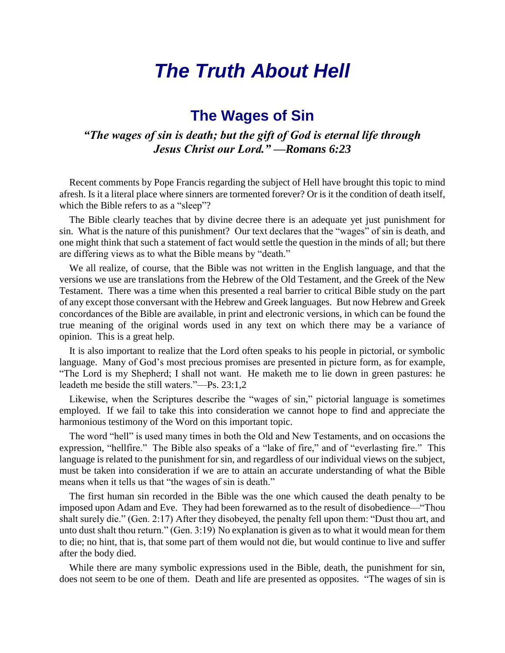# *The Truth About Hell*

# **The Wages of Sin**

### *"The wages of sin is death; but the gift of God is eternal life through Jesus Christ our Lord." —Romans 6:23*

Recent comments by Pope Francis regarding the subject of Hell have brought this topic to mind afresh. Is it a literal place where sinners are tormented forever? Or is it the condition of death itself, which the Bible refers to as a "sleep"?

The Bible clearly teaches that by divine decree there is an adequate yet just punishment for sin. What is the nature of this punishment? Our text declares that the "wages" of sin is death, and one might think that such a statement of fact would settle the question in the minds of all; but there are differing views as to what the Bible means by "death."

We all realize, of course, that the Bible was not written in the English language, and that the versions we use are translations from the Hebrew of the Old Testament, and the Greek of the New Testament. There was a time when this presented a real barrier to critical Bible study on the part of any except those conversant with the Hebrew and Greek languages. But now Hebrew and Greek concordances of the Bible are available, in print and electronic versions, in which can be found the true meaning of the original words used in any text on which there may be a variance of opinion. This is a great help.

It is also important to realize that the Lord often speaks to his people in pictorial, or symbolic language. Many of God's most precious promises are presented in picture form, as for example, "The Lord is my Shepherd; I shall not want. He maketh me to lie down in green pastures: he leadeth me beside the still waters."—Ps. 23:1,2

Likewise, when the Scriptures describe the "wages of sin," pictorial language is sometimes employed. If we fail to take this into consideration we cannot hope to find and appreciate the harmonious testimony of the Word on this important topic.

The word "hell" is used many times in both the Old and New Testaments, and on occasions the expression, "hellfire." The Bible also speaks of a "lake of fire," and of "everlasting fire." This language is related to the punishment for sin, and regardless of our individual views on the subject, must be taken into consideration if we are to attain an accurate understanding of what the Bible means when it tells us that "the wages of sin is death."

The first human sin recorded in the Bible was the one which caused the death penalty to be imposed upon Adam and Eve. They had been forewarned as to the result of disobedience—"Thou shalt surely die." (Gen. 2:17) After they disobeyed, the penalty fell upon them: "Dust thou art, and unto dust shalt thou return." (Gen. 3:19) No explanation is given as to what it would mean for them to die; no hint, that is, that some part of them would not die, but would continue to live and suffer after the body died.

While there are many symbolic expressions used in the Bible, death, the punishment for sin, does not seem to be one of them. Death and life are presented as opposites. "The wages of sin is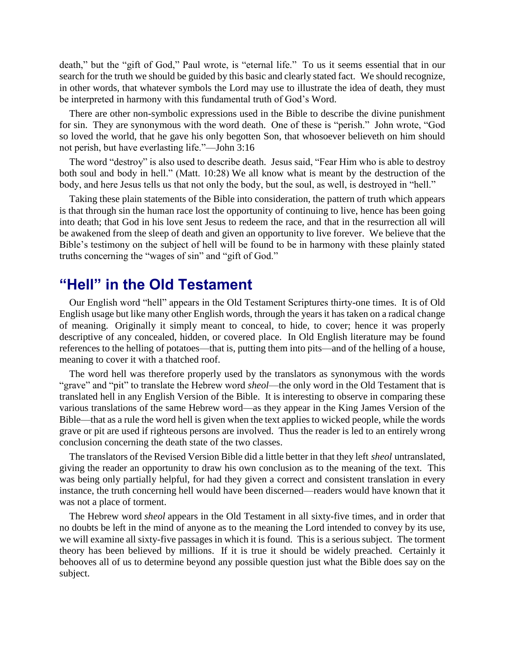death," but the "gift of God," Paul wrote, is "eternal life." To us it seems essential that in our search for the truth we should be guided by this basic and clearly stated fact. We should recognize, in other words, that whatever symbols the Lord may use to illustrate the idea of death, they must be interpreted in harmony with this fundamental truth of God's Word.

There are other non-symbolic expressions used in the Bible to describe the divine punishment for sin. They are synonymous with the word death. One of these is "perish." John wrote, "God so loved the world, that he gave his only begotten Son, that whosoever believeth on him should not perish, but have everlasting life."—John 3:16

The word "destroy" is also used to describe death. Jesus said, "Fear Him who is able to destroy both soul and body in hell." (Matt. 10:28) We all know what is meant by the destruction of the body, and here Jesus tells us that not only the body, but the soul, as well, is destroyed in "hell."

Taking these plain statements of the Bible into consideration, the pattern of truth which appears is that through sin the human race lost the opportunity of continuing to live, hence has been going into death; that God in his love sent Jesus to redeem the race, and that in the resurrection all will be awakened from the sleep of death and given an opportunity to live forever. We believe that the Bible's testimony on the subject of hell will be found to be in harmony with these plainly stated truths concerning the "wages of sin" and "gift of God."

## **"Hell" in the Old Testament**

Our English word "hell" appears in the Old Testament Scriptures thirty-one times. It is of Old English usage but like many other English words, through the years it has taken on a radical change of meaning. Originally it simply meant to conceal, to hide, to cover; hence it was properly descriptive of any concealed, hidden, or covered place. In Old English literature may be found references to the helling of potatoes—that is, putting them into pits—and of the helling of a house, meaning to cover it with a thatched roof.

The word hell was therefore properly used by the translators as synonymous with the words "grave" and "pit" to translate the Hebrew word *sheol*—the only word in the Old Testament that is translated hell in any English Version of the Bible. It is interesting to observe in comparing these various translations of the same Hebrew word—as they appear in the King James Version of the Bible—that as a rule the word hell is given when the text applies to wicked people, while the words grave or pit are used if righteous persons are involved. Thus the reader is led to an entirely wrong conclusion concerning the death state of the two classes.

The translators of the Revised Version Bible did a little better in that they left *sheol* untranslated, giving the reader an opportunity to draw his own conclusion as to the meaning of the text. This was being only partially helpful, for had they given a correct and consistent translation in every instance, the truth concerning hell would have been discerned—readers would have known that it was not a place of torment.

The Hebrew word *sheol* appears in the Old Testament in all sixty-five times, and in order that no doubts be left in the mind of anyone as to the meaning the Lord intended to convey by its use, we will examine all sixty-five passages in which it is found. This is a serious subject. The torment theory has been believed by millions. If it is true it should be widely preached. Certainly it behooves all of us to determine beyond any possible question just what the Bible does say on the subject.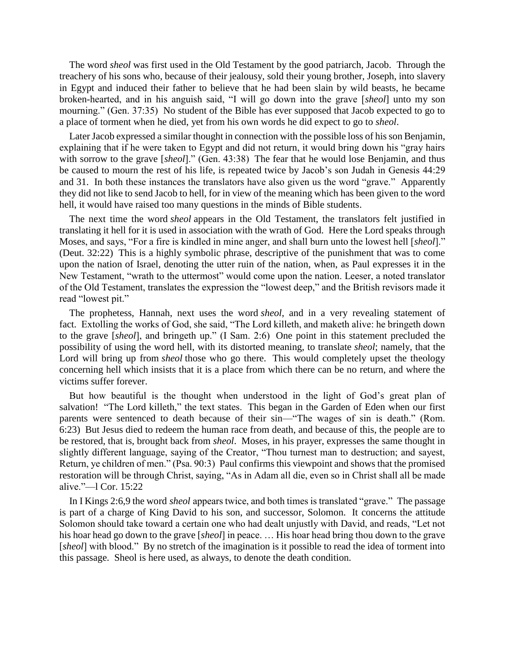The word *sheol* was first used in the Old Testament by the good patriarch, Jacob. Through the treachery of his sons who, because of their jealousy, sold their young brother, Joseph, into slavery in Egypt and induced their father to believe that he had been slain by wild beasts, he became broken-hearted, and in his anguish said, "I will go down into the grave [*sheol*] unto my son mourning." (Gen. 37:35) No student of the Bible has ever supposed that Jacob expected to go to a place of torment when he died, yet from his own words he did expect to go to *sheol*.

Later Jacob expressed a similar thought in connection with the possible loss of his son Benjamin, explaining that if he were taken to Egypt and did not return, it would bring down his "gray hairs with sorrow to the grave [*sheol*]." (Gen. 43:38) The fear that he would lose Benjamin, and thus be caused to mourn the rest of his life, is repeated twice by Jacob's son Judah in Genesis 44:29 and 31. In both these instances the translators have also given us the word "grave." Apparently they did not like to send Jacob to hell, for in view of the meaning which has been given to the word hell, it would have raised too many questions in the minds of Bible students.

The next time the word *sheol* appears in the Old Testament, the translators felt justified in translating it hell for it is used in association with the wrath of God. Here the Lord speaks through Moses, and says, "For a fire is kindled in mine anger, and shall burn unto the lowest hell [*sheol*]." (Deut. 32:22) This is a highly symbolic phrase, descriptive of the punishment that was to come upon the nation of Israel, denoting the utter ruin of the nation, when, as Paul expresses it in the New Testament, "wrath to the uttermost" would come upon the nation. Leeser, a noted translator of the Old Testament, translates the expression the "lowest deep," and the British revisors made it read "lowest pit."

The prophetess, Hannah, next uses the word *sheol*, and in a very revealing statement of fact. Extolling the works of God, she said, "The Lord killeth, and maketh alive: he bringeth down to the grave [*sheol*], and bringeth up." (I Sam. 2:6) One point in this statement precluded the possibility of using the word hell, with its distorted meaning, to translate *sheol*; namely, that the Lord will bring up from *sheol* those who go there. This would completely upset the theology concerning hell which insists that it is a place from which there can be no return, and where the victims suffer forever.

But how beautiful is the thought when understood in the light of God's great plan of salvation! "The Lord killeth," the text states. This began in the Garden of Eden when our first parents were sentenced to death because of their sin—"The wages of sin is death." (Rom. 6:23) But Jesus died to redeem the human race from death, and because of this, the people are to be restored, that is, brought back from *sheol*. Moses, in his prayer, expresses the same thought in slightly different language, saying of the Creator, "Thou turnest man to destruction; and sayest, Return, ye children of men." (Psa. 90:3) Paul confirms this viewpoint and shows that the promised restoration will be through Christ, saying, "As in Adam all die, even so in Christ shall all be made alive."—l Cor. 15:22

In I Kings 2:6,9 the word *sheol* appears twice, and both times is translated "grave." The passage is part of a charge of King David to his son, and successor, Solomon. It concerns the attitude Solomon should take toward a certain one who had dealt unjustly with David, and reads, "Let not his hoar head go down to the grave [*sheol*] in peace. … His hoar head bring thou down to the grave [*sheol*] with blood." By no stretch of the imagination is it possible to read the idea of torment into this passage. Sheol is here used, as always, to denote the death condition.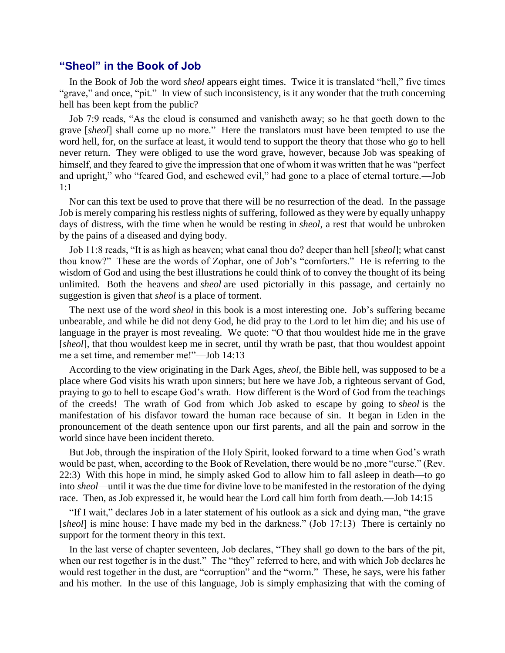#### **"Sheol" in the Book of Job**

In the Book of Job the word *sheol* appears eight times. Twice it is translated "hell," five times "grave," and once, "pit." In view of such inconsistency, is it any wonder that the truth concerning hell has been kept from the public?

Job 7:9 reads, "As the cloud is consumed and vanisheth away; so he that goeth down to the grave [*sheol*] shall come up no more." Here the translators must have been tempted to use the word hell, for, on the surface at least, it would tend to support the theory that those who go to hell never return. They were obliged to use the word grave, however, because Job was speaking of himself, and they feared to give the impression that one of whom it was written that he was "perfect and upright," who "feared God, and eschewed evil," had gone to a place of eternal torture.—Job 1:1

Nor can this text be used to prove that there will be no resurrection of the dead. In the passage Job is merely comparing his restless nights of suffering, followed as they were by equally unhappy days of distress, with the time when he would be resting in *sheol*, a rest that would be unbroken by the pains of a diseased and dying body.

Job 11:8 reads, "It is as high as heaven; what canal thou do? deeper than hell [*sheol*]; what canst thou know?" These are the words of Zophar, one of Job's "comforters." He is referring to the wisdom of God and using the best illustrations he could think of to convey the thought of its being unlimited. Both the heavens and *sheol* are used pictorially in this passage, and certainly no suggestion is given that *sheol* is a place of torment.

The next use of the word *sheol* in this book is a most interesting one. Job's suffering became unbearable, and while he did not deny God, he did pray to the Lord to let him die; and his use of language in the prayer is most revealing. We quote: "O that thou wouldest hide me in the grave [*sheol*], that thou wouldest keep me in secret, until thy wrath be past, that thou wouldest appoint me a set time, and remember me!"—Job 14:13

According to the view originating in the Dark Ages, *sheol*, the Bible hell, was supposed to be a place where God visits his wrath upon sinners; but here we have Job, a righteous servant of God, praying to go to hell to escape God's wrath. How different is the Word of God from the teachings of the creeds! The wrath of God from which Job asked to escape by going to *sheol* is the manifestation of his disfavor toward the human race because of sin. It began in Eden in the pronouncement of the death sentence upon our first parents, and all the pain and sorrow in the world since have been incident thereto.

But Job, through the inspiration of the Holy Spirit, looked forward to a time when God's wrath would be past, when, according to the Book of Revelation, there would be no ,more "curse." (Rev. 22:3) With this hope in mind, he simply asked God to allow him to fall asleep in death—to go into *sheol*—until it was the due time for divine love to be manifested in the restoration of the dying race. Then, as Job expressed it, he would hear the Lord call him forth from death.—Job 14:15

"If I wait," declares Job in a later statement of his outlook as a sick and dying man, "the grave [*sheol*] is mine house: I have made my bed in the darkness." (Job 17:13) There is certainly no support for the torment theory in this text.

In the last verse of chapter seventeen, Job declares, "They shall go down to the bars of the pit, when our rest together is in the dust." The "they" referred to here, and with which Job declares he would rest together in the dust, are "corruption" and the "worm." These, he says, were his father and his mother. In the use of this language, Job is simply emphasizing that with the coming of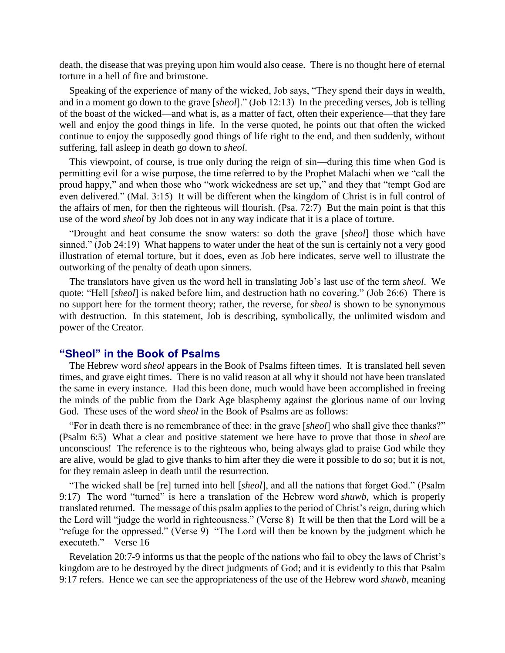death, the disease that was preying upon him would also cease. There is no thought here of eternal torture in a hell of fire and brimstone.

Speaking of the experience of many of the wicked, Job says, "They spend their days in wealth, and in a moment go down to the grave [*sheol*]." (Job 12:13) In the preceding verses, Job is telling of the boast of the wicked—and what is, as a matter of fact, often their experience—that they fare well and enjoy the good things in life. In the verse quoted, he points out that often the wicked continue to enjoy the supposedly good things of life right to the end, and then suddenly, without suffering, fall asleep in death go down to *sheol*.

This viewpoint, of course, is true only during the reign of sin—during this time when God is permitting evil for a wise purpose, the time referred to by the Prophet Malachi when we "call the proud happy," and when those who "work wickedness are set up," and they that "tempt God are even delivered." (Mal. 3:15) It will be different when the kingdom of Christ is in full control of the affairs of men, for then the righteous will flourish. (Psa. 72:7) But the main point is that this use of the word *sheol* by Job does not in any way indicate that it is a place of torture.

"Drought and heat consume the snow waters: so doth the grave [*sheol*] those which have sinned." (Job 24:19) What happens to water under the heat of the sun is certainly not a very good illustration of eternal torture, but it does, even as Job here indicates, serve well to illustrate the outworking of the penalty of death upon sinners.

The translators have given us the word hell in translating Job's last use of the term *sheol*. We quote: "Hell [*sheol*] is naked before him, and destruction hath no covering." (Job 26:6) There is no support here for the torment theory; rather, the reverse, for *sheol* is shown to be synonymous with destruction. In this statement, Job is describing, symbolically, the unlimited wisdom and power of the Creator.

#### **"Sheol" in the Book of Psalms**

The Hebrew word *sheol* appears in the Book of Psalms fifteen times. It is translated hell seven times, and grave eight times. There is no valid reason at all why it should not have been translated the same in every instance. Had this been done, much would have been accomplished in freeing the minds of the public from the Dark Age blasphemy against the glorious name of our loving God. These uses of the word *sheol* in the Book of Psalms are as follows:

"For in death there is no remembrance of thee: in the grave [*sheol*] who shall give thee thanks?" (Psalm 6:5) What a clear and positive statement we here have to prove that those in *sheol* are unconscious! The reference is to the righteous who, being always glad to praise God while they are alive, would be glad to give thanks to him after they die were it possible to do so; but it is not, for they remain asleep in death until the resurrection.

"The wicked shall be [re] turned into hell [*sheol*], and all the nations that forget God." (Psalm 9:17) The word "turned" is here a translation of the Hebrew word *shuwb*, which is properly translated returned. The message of this psalm applies to the period of Christ's reign, during which the Lord will "judge the world in righteousness." (Verse 8) It will be then that the Lord will be a "refuge for the oppressed." (Verse 9) "The Lord will then be known by the judgment which he executeth."—Verse 16

Revelation 20:7-9 informs us that the people of the nations who fail to obey the laws of Christ's kingdom are to be destroyed by the direct judgments of God; and it is evidently to this that Psalm 9:17 refers. Hence we can see the appropriateness of the use of the Hebrew word *shuwb*, meaning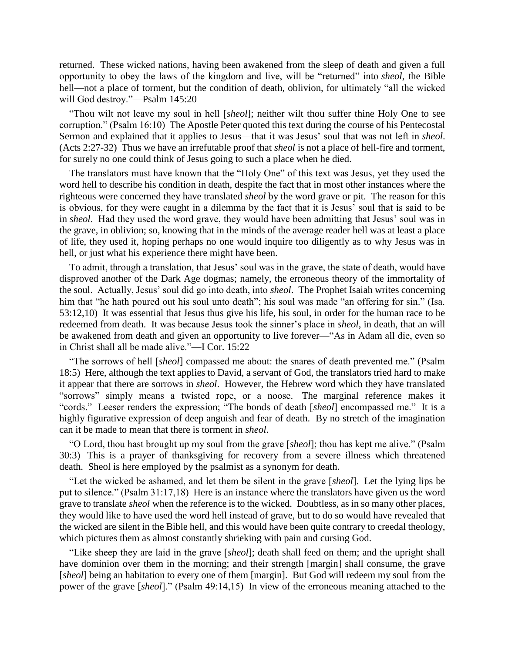returned. These wicked nations, having been awakened from the sleep of death and given a full opportunity to obey the laws of the kingdom and live, will be "returned" into *sheol*, the Bible hell—not a place of torment, but the condition of death, oblivion, for ultimately "all the wicked will God destroy."—Psalm 145:20

"Thou wilt not leave my soul in hell [*sheol*]; neither wilt thou suffer thine Holy One to see corruption." (Psalm 16:10) The Apostle Peter quoted this text during the course of his Pentecostal Sermon and explained that it applies to Jesus—that it was Jesus' soul that was not left in *sheol*. (Acts 2:27-32) Thus we have an irrefutable proof that *sheol* is not a place of hell-fire and torment, for surely no one could think of Jesus going to such a place when he died.

The translators must have known that the "Holy One" of this text was Jesus, yet they used the word hell to describe his condition in death, despite the fact that in most other instances where the righteous were concerned they have translated *sheol* by the word grave or pit. The reason for this is obvious, for they were caught in a dilemma by the fact that it is Jesus' soul that is said to be in *sheol*. Had they used the word grave, they would have been admitting that Jesus' soul was in the grave, in oblivion; so, knowing that in the minds of the average reader hell was at least a place of life, they used it, hoping perhaps no one would inquire too diligently as to why Jesus was in hell, or just what his experience there might have been.

To admit, through a translation, that Jesus' soul was in the grave, the state of death, would have disproved another of the Dark Age dogmas; namely, the erroneous theory of the immortality of the soul. Actually, Jesus' soul did go into death, into *sheol*. The Prophet Isaiah writes concerning him that "he hath poured out his soul unto death"; his soul was made "an offering for sin." (Isa. 53:12,10) It was essential that Jesus thus give his life, his soul, in order for the human race to be redeemed from death. It was because Jesus took the sinner's place in *sheol*, in death, that an will be awakened from death and given an opportunity to live forever—"As in Adam all die, even so in Christ shall all be made alive."—I Cor. 15:22

"The sorrows of hell [*sheol*] compassed me about: the snares of death prevented me." (Psalm 18:5) Here, although the text applies to David, a servant of God, the translators tried hard to make it appear that there are sorrows in *sheol*. However, the Hebrew word which they have translated "sorrows" simply means a twisted rope, or a noose. The marginal reference makes it "cords." Leeser renders the expression; "The bonds of death [*sheol*] encompassed me." It is a highly figurative expression of deep anguish and fear of death. By no stretch of the imagination can it be made to mean that there is torment in *sheol*.

"O Lord, thou hast brought up my soul from the grave [*sheol*]; thou has kept me alive." (Psalm 30:3) This is a prayer of thanksgiving for recovery from a severe illness which threatened death. Sheol is here employed by the psalmist as a synonym for death.

"Let the wicked be ashamed, and let them be silent in the grave [*sheol*]. Let the lying lips be put to silence." (Psalm 31:17,18) Here is an instance where the translators have given us the word grave to translate *sheol* when the reference is to the wicked. Doubtless, as in so many other places, they would like to have used the word hell instead of grave, but to do so would have revealed that the wicked are silent in the Bible hell, and this would have been quite contrary to creedal theology, which pictures them as almost constantly shrieking with pain and cursing God.

"Like sheep they are laid in the grave [*sheol*]; death shall feed on them; and the upright shall have dominion over them in the morning; and their strength [margin] shall consume, the grave [*sheol*] being an habitation to every one of them [margin]. But God will redeem my soul from the power of the grave [*sheol*]." (Psalm 49:14,15) In view of the erroneous meaning attached to the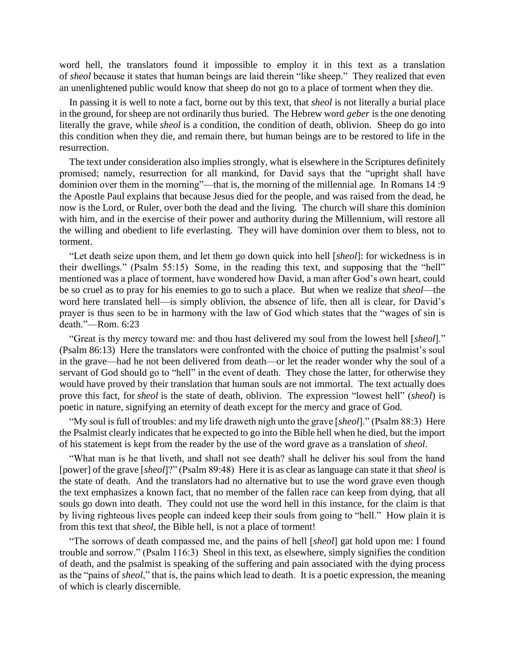word hell, the translators found it impossible to employ it in this text as a translation of *sheol* because it states that human beings are laid therein "like sheep." They realized that even an unenlightened public would know that sheep do not go to a place of torment when they die.

In passing it is well to note a fact, borne out by this text, that *sheol* is not literally a burial place in the ground, for sheep are not ordinarily thus buried. The Hebrew word *geber* is the one denoting literally the grave, while *sheol* is a condition, the condition of death, oblivion. Sheep do go into this condition when they die, and remain there, but human beings are to be restored to life in the resurrection.

The text under consideration also implies strongly, what is elsewhere in the Scriptures definitely promised; namely, resurrection for all mankind, for David says that the "upright shall have dominion over them in the morning"—that is, the morning of the millennial age. In Romans 14:9 the Apostle Paul explains that because Jesus died for the people, and was raised from the dead, he now is the Lord, or Ruler, over both the dead and the living. The church will share this dominion with him, and in the exercise of their power and authority during the Millennium, will restore all the willing and obedient to life everlasting. They will have dominion over them to bless, not to torment.

"Let death seize upon them, and let them go down quick into hell [*sheol*]: for wickedness is in their dwellings." (Psalm 55:15) Some, in the reading this text, and supposing that the "hell" mentioned was a place of torment, have wondered how David, a man after God's own heart, could be so cruel as to pray for his enemies to go to such a place. But when we realize that *sheol*—the word here translated hell—is simply oblivion, the absence of life, then all is clear, for David's prayer is thus seen to be in harmony with the law of God which states that the "wages of sin is death."—Rom. 6:23

"Great is thy mercy toward me: and thou hast delivered my soul from the lowest hell [*sheol*]." (Psalm 86:13) Here the translators were confronted with the choice of putting the psalmist's soul in the grave—had he not been delivered from death—or let the reader wonder why the soul of a servant of God should go to "hell" in the event of death. They chose the latter, for otherwise they would have proved by their translation that human souls are not immortal. The text actually does prove this fact, for *sheol* is the state of death, oblivion. The expression "lowest hell" (*sheol*) is poetic in nature, signifying an eternity of death except for the mercy and grace of God.

"My soul is full of troubles: and my life draweth nigh unto the grave [*sheol*]." (Psalm 88:3) Here the Psalmist clearly indicates that he expected to go into the Bible hell when he died, but the import of his statement is kept from the reader by the use of the word grave as a translation of *sheol*.

"What man is he that liveth, and shall not see death? shall he deliver his soul from the hand [power] of the grave [*sheol*]?" (Psalm 89:48) Here it is as clear as language can state it that *sheol* is the state of death. And the translators had no alternative but to use the word grave even though the text emphasizes a known fact, that no member of the fallen race can keep from dying, that all souls go down into death. They could not use the word hell in this instance, for the claim is that by living righteous lives people can indeed keep their souls from going to "hell." How plain it is from this text that *sheol*, the Bible hell, is not a place of torment!

"The sorrows of death compassed me, and the pains of hell [*sheol*] gat hold upon me: I found trouble and sorrow." (Psalm 116:3) Sheol in this text, as elsewhere, simply signifies the condition of death, and the psalmist is speaking of the suffering and pain associated with the dying process as the "pains of *sheol*," that is, the pains which lead to death. It is a poetic expression, the meaning of which is clearly discernible.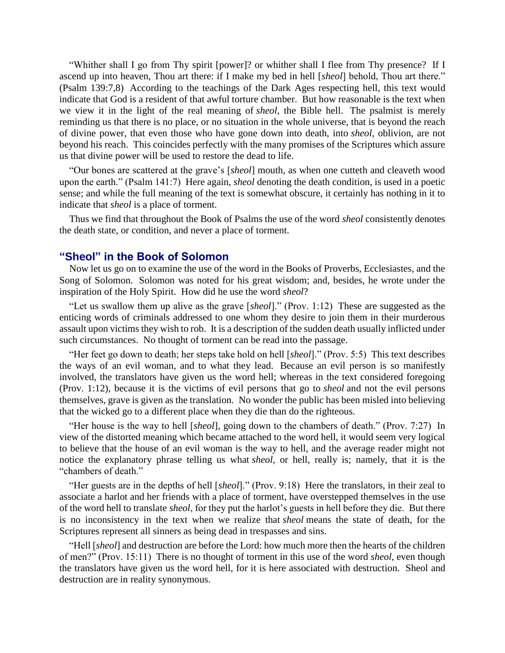"Whither shall I go from Thy spirit [power]? or whither shall I flee from Thy presence? If I ascend up into heaven, Thou art there: if I make my bed in hell [*sheol*] behold, Thou art there." (Psalm 139:7,8) According to the teachings of the Dark Ages respecting hell, this text would indicate that God is a resident of that awful torture chamber. But how reasonable is the text when we view it in the light of the real meaning of *sheol*, the Bible hell. The psalmist is merely reminding us that there is no place, or no situation in the whole universe, that is beyond the reach of divine power, that even those who have gone down into death, into *sheol*, oblivion, are not beyond his reach. This coincides perfectly with the many promises of the Scriptures which assure us that divine power will be used to restore the dead to life.

"Our bones are scattered at the grave's [*sheol*] mouth, as when one cutteth and cleaveth wood upon the earth." (Psalm 141:7) Here again, *sheol* denoting the death condition, is used in a poetic sense; and while the full meaning of the text is somewhat obscure, it certainly has nothing in it to indicate that *sheol* is a place of torment.

Thus we find that throughout the Book of Psalms the use of the word *sheol* consistently denotes the death state, or condition, and never a place of torment.

#### **"Sheol" in the Book of Solomon**

Now let us go on to examine the use of the word in the Books of Proverbs, Ecclesiastes, and the Song of Solomon. Solomon was noted for his great wisdom; and, besides, he wrote under the inspiration of the Holy Spirit. How did he use the word *sheol*?

"Let us swallow them up alive as the grave [*sheol*]." (Prov. 1:12) These are suggested as the enticing words of criminals addressed to one whom they desire to join them in their murderous assault upon victims they wish to rob. It is a description of the sudden death usually inflicted under such circumstances. No thought of torment can be read into the passage.

"Her feet go down to death; her steps take hold on hell [*sheol*]." (Prov. 5:5) This text describes the ways of an evil woman, and to what they lead. Because an evil person is so manifestly involved, the translators have given us the word hell; whereas in the text considered foregoing (Prov. 1:12), because it is the victims of evil persons that go to *sheol* and not the evil persons themselves, grave is given as the translation. No wonder the public has been misled into believing that the wicked go to a different place when they die than do the righteous.

"Her house is the way to hell [*sheol*], going down to the chambers of death." (Prov. 7:27) In view of the distorted meaning which became attached to the word hell, it would seem very logical to believe that the house of an evil woman is the way to hell, and the average reader might not notice the explanatory phrase telling us what *sheol*, or hell, really is; namely, that it is the "chambers of death."

"Her guests are in the depths of hell [*sheol*]." (Prov. 9:18) Here the translators, in their zeal to associate a harlot and her friends with a place of torment, have overstepped themselves in the use of the word hell to translate *sheol*, for they put the harlot's guests in hell before they die. But there is no inconsistency in the text when we realize that *sheol* means the state of death, for the Scriptures represent all sinners as being dead in trespasses and sins.

"Hell [*sheol*] and destruction are before the Lord: how much more then the hearts of the children of men?" (Prov. 15:11) There is no thought of torment in this use of the word *sheol*, even though the translators have given us the word hell, for it is here associated with destruction. Sheol and destruction are in reality synonymous.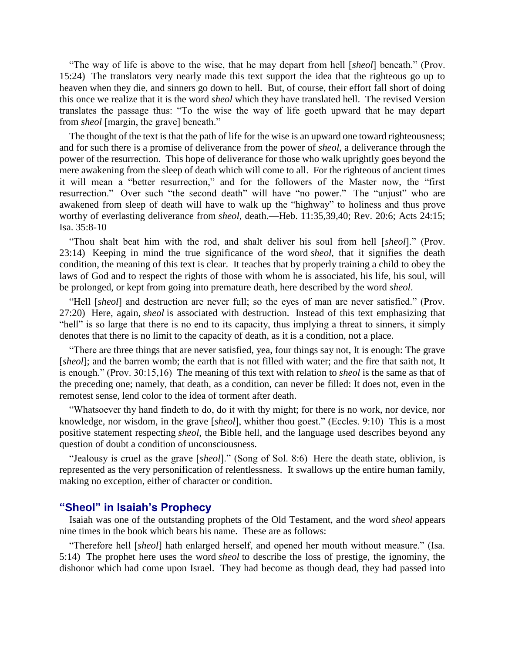"The way of life is above to the wise, that he may depart from hell [*sheol*] beneath." (Prov. 15:24) The translators very nearly made this text support the idea that the righteous go up to heaven when they die, and sinners go down to hell. But, of course, their effort fall short of doing this once we realize that it is the word *sheol* which they have translated hell. The revised Version translates the passage thus: "To the wise the way of life goeth upward that he may depart from *sheol* [margin, the grave] beneath."

The thought of the text is that the path of life for the wise is an upward one toward righteousness; and for such there is a promise of deliverance from the power of *sheol*, a deliverance through the power of the resurrection. This hope of deliverance for those who walk uprightly goes beyond the mere awakening from the sleep of death which will come to all. For the righteous of ancient times it will mean a "better resurrection," and for the followers of the Master now, the "first resurrection." Over such "the second death" will have "no power." The "unjust" who are awakened from sleep of death will have to walk up the "highway" to holiness and thus prove worthy of everlasting deliverance from *sheol*, death.—Heb. 11:35,39,40; Rev. 20:6; Acts 24:15; Isa. 35:8-10

"Thou shalt beat him with the rod, and shalt deliver his soul from hell [*sheol*]." (Prov. 23:14) Keeping in mind the true significance of the word *sheol*, that it signifies the death condition, the meaning of this text is clear. It teaches that by properly training a child to obey the laws of God and to respect the rights of those with whom he is associated, his life, his soul, will be prolonged, or kept from going into premature death, here described by the word *sheol*.

"Hell [*sheol*] and destruction are never full; so the eyes of man are never satisfied." (Prov. 27:20) Here, again, *sheol* is associated with destruction. Instead of this text emphasizing that "hell" is so large that there is no end to its capacity, thus implying a threat to sinners, it simply denotes that there is no limit to the capacity of death, as it is a condition, not a place.

"There are three things that are never satisfied, yea, four things say not, It is enough: The grave [*sheol*]; and the barren womb; the earth that is not filled with water; and the fire that saith not, It is enough." (Prov. 30:15,16) The meaning of this text with relation to *sheol* is the same as that of the preceding one; namely, that death, as a condition, can never be filled: It does not, even in the remotest sense, lend color to the idea of torment after death.

"Whatsoever thy hand findeth to do, do it with thy might; for there is no work, nor device, nor knowledge, nor wisdom, in the grave [*sheol*], whither thou goest." (Eccles. 9:10) This is a most positive statement respecting *sheol*, the Bible hell, and the language used describes beyond any question of doubt a condition of unconsciousness.

"Jealousy is cruel as the grave [*sheol*]." (Song of Sol. 8:6) Here the death state, oblivion, is represented as the very personification of relentlessness. It swallows up the entire human family, making no exception, either of character or condition.

#### **"Sheol" in Isaiah's Prophecy**

Isaiah was one of the outstanding prophets of the Old Testament, and the word *sheol* appears nine times in the book which bears his name. These are as follows:

"Therefore hell [*sheol*] hath enlarged herself, and opened her mouth without measure." (Isa. 5:14) The prophet here uses the word *sheol* to describe the loss of prestige, the ignominy, the dishonor which had come upon Israel. They had become as though dead, they had passed into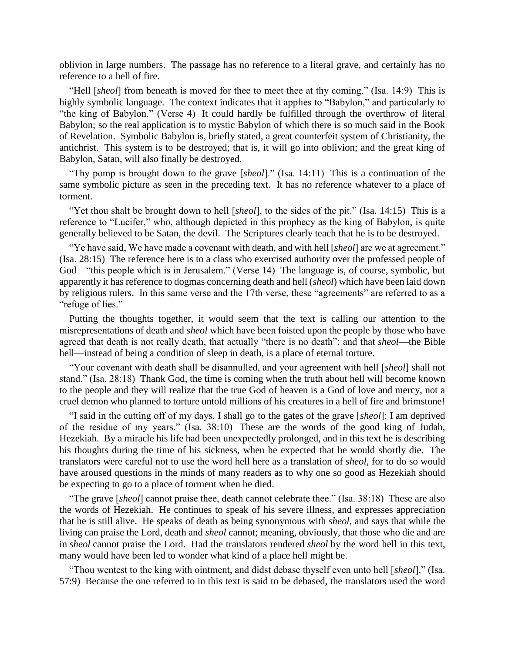oblivion in large numbers. The passage has no reference to a literal grave, and certainly has no reference to a hell of fire.

"Hell [*sheol*] from beneath is moved for thee to meet thee at thy coming." (Isa. 14:9) This is highly symbolic language. The context indicates that it applies to "Babylon," and particularly to "the king of Babylon." (Verse 4) It could hardly be fulfilled through the overthrow of literal Babylon; so the real application is to mystic Babylon of which there is so much said in the Book of Revelation. Symbolic Babylon is, briefly stated, a great counterfeit system of Christianity, the antichrist. This system is to be destroyed; that is, it will go into oblivion; and the great king of Babylon, Satan, will also finally be destroyed.

"Thy pomp is brought down to the grave [*sheol*]." (Isa. 14:11) This is a continuation of the same symbolic picture as seen in the preceding text. It has no reference whatever to a place of torment.

"Yet thou shalt be brought down to hell [*sheol*], to the sides of the pit." (Isa. 14:15) This is a reference to "Lucifer," who, although depicted in this prophecy as the king of Babylon, is quite generally believed to be Satan, the devil. The Scriptures clearly teach that he is to be destroyed.

"Ye have said, We have made a covenant with death, and with hell [*sheol*] are we at agreement." (Isa. 28:15) The reference here is to a class who exercised authority over the professed people of God—"this people which is in Jerusalem." (Verse 14) The language is, of course, symbolic, but apparently it has reference to dogmas concerning death and hell (*sheol*) which have been laid down by religious rulers. In this same verse and the 17th verse, these "agreements" are referred to as a "refuge of lies."

Putting the thoughts together, it would seem that the text is calling our attention to the misrepresentations of death and *sheol* which have been foisted upon the people by those who have agreed that death is not really death, that actually "there is no death"; and that *sheol*—the Bible hell—instead of being a condition of sleep in death, is a place of eternal torture.

"Your covenant with death shall be disannulled, and your agreement with hell [*sheol*] shall not stand." (Isa. 28:18) Thank God, the time is coming when the truth about hell will become known to the people and they will realize that the true God of heaven is a God of love and mercy, not a cruel demon who planned to torture untold millions of his creatures in a hell of fire and brimstone!

"I said in the cutting off of my days, I shall go to the gates of the grave [*sheol*]: I am deprived of the residue of my years." (Isa. 38:10) These are the words of the good king of Judah, Hezekiah. By a miracle his life had been unexpectedly prolonged, and in this text he is describing his thoughts during the time of his sickness, when he expected that he would shortly die. The translators were careful not to use the word hell here as a translation of *sheol*, for to do so would have aroused questions in the minds of many readers as to why one so good as Hezekiah should be expecting to go to a place of torment when he died.

"The grave [*sheol*] cannot praise thee, death cannot celebrate thee." (Isa. 38:18) These are also the words of Hezekiah. He continues to speak of his severe illness, and expresses appreciation that he is still alive. He speaks of death as being synonymous with *sheol*, and says that while the living can praise the Lord, death and *sheol* cannot; meaning, obviously, that those who die and are in *sheol* cannot praise the Lord. Had the translators rendered *sheol* by the word hell in this text, many would have been led to wonder what kind of a place hell might be.

"Thou wentest to the king with ointment, and didst debase thyself even unto hell [*sheol*]." (Isa. 57:9) Because the one referred to in this text is said to be debased, the translators used the word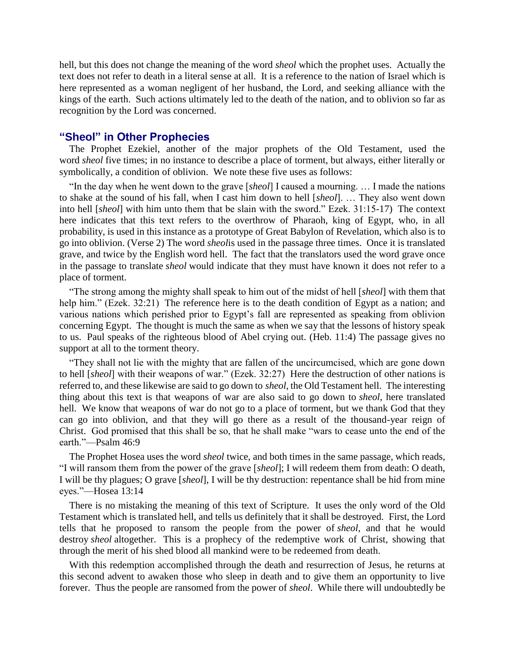hell, but this does not change the meaning of the word *sheol* which the prophet uses. Actually the text does not refer to death in a literal sense at all. It is a reference to the nation of Israel which is here represented as a woman negligent of her husband, the Lord, and seeking alliance with the kings of the earth. Such actions ultimately led to the death of the nation, and to oblivion so far as recognition by the Lord was concerned.

#### **"Sheol" in Other Prophecies**

The Prophet Ezekiel, another of the major prophets of the Old Testament, used the word *sheol* five times; in no instance to describe a place of torment, but always, either literally or symbolically, a condition of oblivion. We note these five uses as follows:

"In the day when he went down to the grave [*sheol*] I caused a mourning. … I made the nations to shake at the sound of his fall, when I cast him down to hell [*sheol*]. … They also went down into hell [*sheol*] with him unto them that be slain with the sword." Ezek. 31:15-17) The context here indicates that this text refers to the overthrow of Pharaoh, king of Egypt, who, in all probability, is used in this instance as a prototype of Great Babylon of Revelation, which also is to go into oblivion. (Verse 2) The word *sheol*is used in the passage three times. Once it is translated grave, and twice by the English word hell. The fact that the translators used the word grave once in the passage to translate *sheol* would indicate that they must have known it does not refer to a place of torment.

"The strong among the mighty shall speak to him out of the midst of hell [*sheol*] with them that help him." (Ezek. 32:21) The reference here is to the death condition of Egypt as a nation; and various nations which perished prior to Egypt's fall are represented as speaking from oblivion concerning Egypt. The thought is much the same as when we say that the lessons of history speak to us. Paul speaks of the righteous blood of Abel crying out. (Heb. 11:4) The passage gives no support at all to the torment theory.

"They shall not lie with the mighty that are fallen of the uncircumcised, which are gone down to hell [*sheol*] with their weapons of war." (Ezek. 32:27) Here the destruction of other nations is referred to, and these likewise are said to go down to *sheol*, the Old Testament hell. The interesting thing about this text is that weapons of war are also said to go down to *sheol*, here translated hell. We know that weapons of war do not go to a place of torment, but we thank God that they can go into oblivion, and that they will go there as a result of the thousand-year reign of Christ. God promised that this shall be so, that he shall make "wars to cease unto the end of the earth."—Psalm 46:9

The Prophet Hosea uses the word *sheol* twice, and both times in the same passage, which reads, "I will ransom them from the power of the grave [*sheol*]; I will redeem them from death: O death, I will be thy plagues; O grave [*sheol*], I will be thy destruction: repentance shall be hid from mine eyes."—Hosea 13:14

There is no mistaking the meaning of this text of Scripture. It uses the only word of the Old Testament which is translated hell, and tells us definitely that it shall be destroyed. First, the Lord tells that he proposed to ransom the people from the power of *sheol*, and that he would destroy *sheol* altogether. This is a prophecy of the redemptive work of Christ, showing that through the merit of his shed blood all mankind were to be redeemed from death.

With this redemption accomplished through the death and resurrection of Jesus, he returns at this second advent to awaken those who sleep in death and to give them an opportunity to live forever. Thus the people are ransomed from the power of *sheol*. While there will undoubtedly be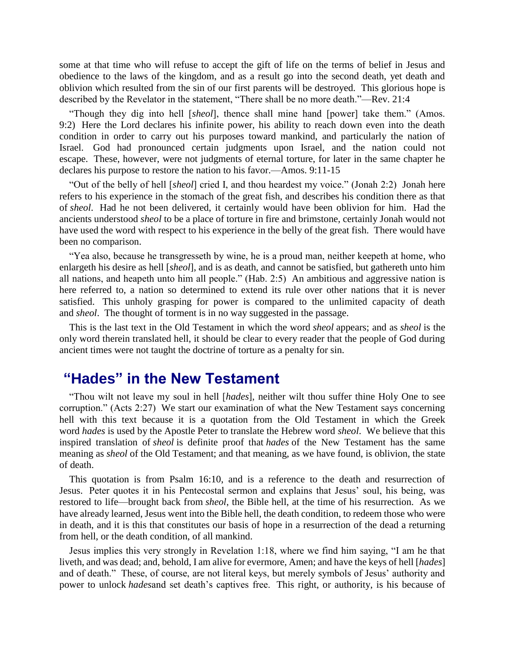some at that time who will refuse to accept the gift of life on the terms of belief in Jesus and obedience to the laws of the kingdom, and as a result go into the second death, yet death and oblivion which resulted from the sin of our first parents will be destroyed. This glorious hope is described by the Revelator in the statement, "There shall be no more death."—Rev. 21:4

"Though they dig into hell [*sheol*], thence shall mine hand [power] take them." (Amos. 9:2) Here the Lord declares his infinite power, his ability to reach down even into the death condition in order to carry out his purposes toward mankind, and particularly the nation of Israel. God had pronounced certain judgments upon Israel, and the nation could not escape. These, however, were not judgments of eternal torture, for later in the same chapter he declares his purpose to restore the nation to his favor.—Amos. 9:11-15

"Out of the belly of hell [*sheol*] cried I, and thou heardest my voice." (Jonah 2:2) Jonah here refers to his experience in the stomach of the great fish, and describes his condition there as that of *sheol*. Had he not been delivered, it certainly would have been oblivion for him. Had the ancients understood *sheol* to be a place of torture in fire and brimstone, certainly Jonah would not have used the word with respect to his experience in the belly of the great fish. There would have been no comparison.

"Yea also, because he transgresseth by wine, he is a proud man, neither keepeth at home, who enlargeth his desire as hell [*sheol*], and is as death, and cannot be satisfied, but gathereth unto him all nations, and heapeth unto him all people." (Hab. 2:5) An ambitious and aggressive nation is here referred to, a nation so determined to extend its rule over other nations that it is never satisfied. This unholy grasping for power is compared to the unlimited capacity of death and *sheol*. The thought of torment is in no way suggested in the passage.

This is the last text in the Old Testament in which the word *sheol* appears; and as *sheol* is the only word therein translated hell, it should be clear to every reader that the people of God during ancient times were not taught the doctrine of torture as a penalty for sin.

# **"Hades" in the New Testament**

"Thou wilt not leave my soul in hell [*hades*], neither wilt thou suffer thine Holy One to see corruption." (Acts 2:27) We start our examination of what the New Testament says concerning hell with this text because it is a quotation from the Old Testament in which the Greek word *hades* is used by the Apostle Peter to translate the Hebrew word *sheol*. We believe that this inspired translation of *sheol* is definite proof that *hades* of the New Testament has the same meaning as *sheol* of the Old Testament; and that meaning, as we have found, is oblivion, the state of death.

This quotation is from Psalm 16:10, and is a reference to the death and resurrection of Jesus. Peter quotes it in his Pentecostal sermon and explains that Jesus' soul, his being, was restored to life—brought back from *sheol*, the Bible hell, at the time of his resurrection. As we have already learned, Jesus went into the Bible hell, the death condition, to redeem those who were in death, and it is this that constitutes our basis of hope in a resurrection of the dead a returning from hell, or the death condition, of all mankind.

Jesus implies this very strongly in Revelation 1:18, where we find him saying, "I am he that liveth, and was dead; and, behold, I am alive for evermore, Amen; and have the keys of hell [*hades*] and of death." These, of course, are not literal keys, but merely symbols of Jesus' authority and power to unlock *hades*and set death's captives free. This right, or authority, is his because of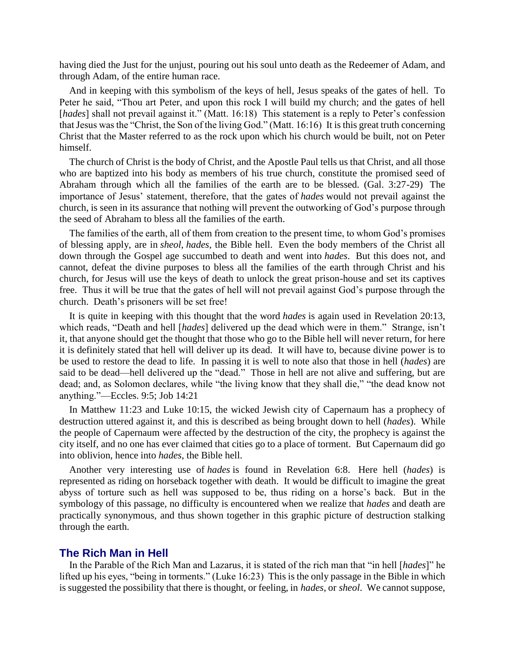having died the Just for the unjust, pouring out his soul unto death as the Redeemer of Adam, and through Adam, of the entire human race.

And in keeping with this symbolism of the keys of hell, Jesus speaks of the gates of hell. To Peter he said, "Thou art Peter, and upon this rock I will build my church; and the gates of hell [*hades*] shall not prevail against it." (Matt. 16:18) This statement is a reply to Peter's confession that Jesus was the "Christ, the Son of the living God." (Matt. 16:16) It is this great truth concerning Christ that the Master referred to as the rock upon which his church would be built, not on Peter himself.

The church of Christ is the body of Christ, and the Apostle Paul tells us that Christ, and all those who are baptized into his body as members of his true church, constitute the promised seed of Abraham through which all the families of the earth are to be blessed. (Gal. 3:27-29) The importance of Jesus' statement, therefore, that the gates of *hades* would not prevail against the church, is seen in its assurance that nothing will prevent the outworking of God's purpose through the seed of Abraham to bless all the families of the earth.

The families of the earth, all of them from creation to the present time, to whom God's promises of blessing apply, are in *sheol*, *hades*, the Bible hell. Even the body members of the Christ all down through the Gospel age succumbed to death and went into *hades*. But this does not, and cannot, defeat the divine purposes to bless all the families of the earth through Christ and his church, for Jesus will use the keys of death to unlock the great prison-house and set its captives free. Thus it will be true that the gates of hell will not prevail against God's purpose through the church. Death's prisoners will be set free!

It is quite in keeping with this thought that the word *hades* is again used in Revelation 20:13, which reads, "Death and hell [*hades*] delivered up the dead which were in them." Strange, isn't it, that anyone should get the thought that those who go to the Bible hell will never return, for here it is definitely stated that hell will deliver up its dead. It will have to, because divine power is to be used to restore the dead to life. In passing it is well to note also that those in hell (*hades*) are said to be dead—hell delivered up the "dead." Those in hell are not alive and suffering, but are dead; and, as Solomon declares, while "the living know that they shall die," "the dead know not anything."—Eccles. 9:5; Job 14:21

In Matthew 11:23 and Luke 10:15, the wicked Jewish city of Capernaum has a prophecy of destruction uttered against it, and this is described as being brought down to hell (*hades*). While the people of Capernaum were affected by the destruction of the city, the prophecy is against the city itself, and no one has ever claimed that cities go to a place of torment. But Capernaum did go into oblivion, hence into *hades*, the Bible hell.

Another very interesting use of *hades* is found in Revelation 6:8. Here hell (*hades*) is represented as riding on horseback together with death. It would be difficult to imagine the great abyss of torture such as hell was supposed to be, thus riding on a horse's back. But in the symbology of this passage, no difficulty is encountered when we realize that *hades* and death are practically synonymous, and thus shown together in this graphic picture of destruction stalking through the earth.

#### **The Rich Man in Hell**

In the Parable of the Rich Man and Lazarus, it is stated of the rich man that "in hell [*hades*]" he lifted up his eyes, "being in torments." (Luke 16:23) This is the only passage in the Bible in which is suggested the possibility that there is thought, or feeling, in *hades*, or *sheol*. We cannot suppose,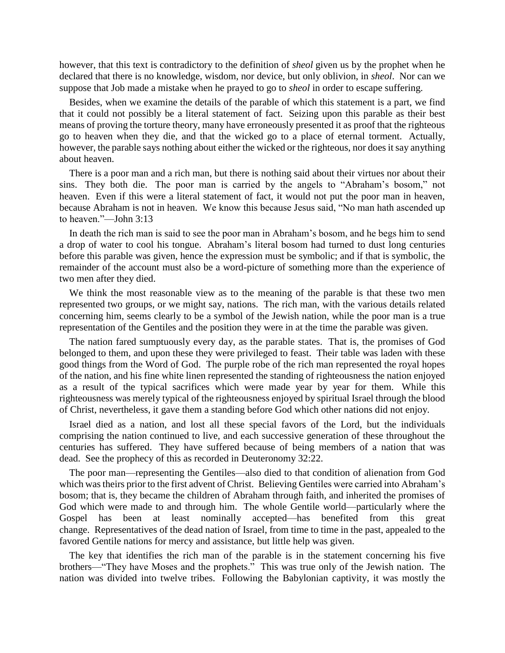however, that this text is contradictory to the definition of *sheol* given us by the prophet when he declared that there is no knowledge, wisdom, nor device, but only oblivion, in *sheol*. Nor can we suppose that Job made a mistake when he prayed to go to *sheol* in order to escape suffering.

Besides, when we examine the details of the parable of which this statement is a part, we find that it could not possibly be a literal statement of fact. Seizing upon this parable as their best means of proving the torture theory, many have erroneously presented it as proof that the righteous go to heaven when they die, and that the wicked go to a place of eternal torment. Actually, however, the parable says nothing about either the wicked or the righteous, nor does it say anything about heaven.

There is a poor man and a rich man, but there is nothing said about their virtues nor about their sins. They both die. The poor man is carried by the angels to "Abraham's bosom," not heaven. Even if this were a literal statement of fact, it would not put the poor man in heaven, because Abraham is not in heaven. We know this because Jesus said, "No man hath ascended up to heaven."—John 3:13

In death the rich man is said to see the poor man in Abraham's bosom, and he begs him to send a drop of water to cool his tongue. Abraham's literal bosom had turned to dust long centuries before this parable was given, hence the expression must be symbolic; and if that is symbolic, the remainder of the account must also be a word-picture of something more than the experience of two men after they died.

We think the most reasonable view as to the meaning of the parable is that these two men represented two groups, or we might say, nations. The rich man, with the various details related concerning him, seems clearly to be a symbol of the Jewish nation, while the poor man is a true representation of the Gentiles and the position they were in at the time the parable was given.

The nation fared sumptuously every day, as the parable states. That is, the promises of God belonged to them, and upon these they were privileged to feast. Their table was laden with these good things from the Word of God. The purple robe of the rich man represented the royal hopes of the nation, and his fine white linen represented the standing of righteousness the nation enjoyed as a result of the typical sacrifices which were made year by year for them. While this righteousness was merely typical of the righteousness enjoyed by spiritual Israel through the blood of Christ, nevertheless, it gave them a standing before God which other nations did not enjoy.

Israel died as a nation, and lost all these special favors of the Lord, but the individuals comprising the nation continued to live, and each successive generation of these throughout the centuries has suffered. They have suffered because of being members of a nation that was dead. See the prophecy of this as recorded in Deuteronomy 32:22.

The poor man—representing the Gentiles—also died to that condition of alienation from God which was theirs prior to the first advent of Christ. Believing Gentiles were carried into Abraham's bosom; that is, they became the children of Abraham through faith, and inherited the promises of God which were made to and through him. The whole Gentile world—particularly where the Gospel has been at least nominally accepted—has benefited from this great change. Representatives of the dead nation of Israel, from time to time in the past, appealed to the favored Gentile nations for mercy and assistance, but little help was given.

The key that identifies the rich man of the parable is in the statement concerning his five brothers—"They have Moses and the prophets." This was true only of the Jewish nation. The nation was divided into twelve tribes. Following the Babylonian captivity, it was mostly the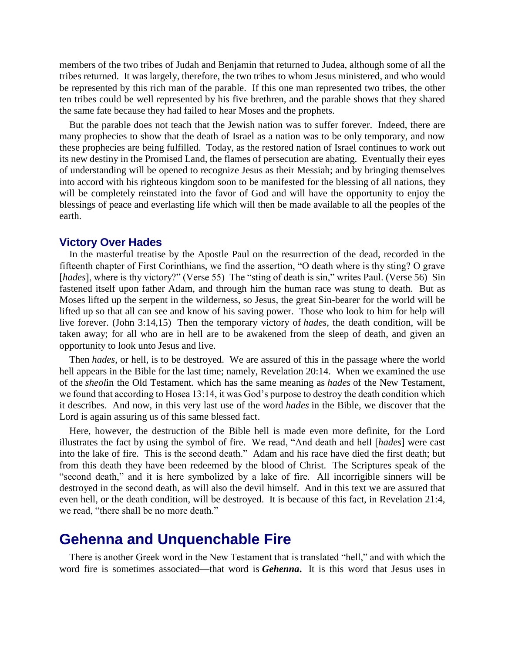members of the two tribes of Judah and Benjamin that returned to Judea, although some of all the tribes returned. It was largely, therefore, the two tribes to whom Jesus ministered, and who would be represented by this rich man of the parable. If this one man represented two tribes, the other ten tribes could be well represented by his five brethren, and the parable shows that they shared the same fate because they had failed to hear Moses and the prophets.

But the parable does not teach that the Jewish nation was to suffer forever. Indeed, there are many prophecies to show that the death of Israel as a nation was to be only temporary, and now these prophecies are being fulfilled. Today, as the restored nation of Israel continues to work out its new destiny in the Promised Land, the flames of persecution are abating. Eventually their eyes of understanding will be opened to recognize Jesus as their Messiah; and by bringing themselves into accord with his righteous kingdom soon to be manifested for the blessing of all nations, they will be completely reinstated into the favor of God and will have the opportunity to enjoy the blessings of peace and everlasting life which will then be made available to all the peoples of the earth.

#### **Victory Over Hades**

In the masterful treatise by the Apostle Paul on the resurrection of the dead, recorded in the fifteenth chapter of First Corinthians, we find the assertion, "O death where is thy sting? O grave [*hades*], where is thy victory?" (Verse 55) The "sting of death is sin," writes Paul. (Verse 56) Sin fastened itself upon father Adam, and through him the human race was stung to death. But as Moses lifted up the serpent in the wilderness, so Jesus, the great Sin-bearer for the world will be lifted up so that all can see and know of his saving power. Those who look to him for help will live forever. (John 3:14,15) Then the temporary victory of *hades*, the death condition, will be taken away; for all who are in hell are to be awakened from the sleep of death, and given an opportunity to look unto Jesus and live.

Then *hades*, or hell, is to be destroyed. We are assured of this in the passage where the world hell appears in the Bible for the last time; namely, Revelation 20:14. When we examined the use of the *sheol*in the Old Testament. which has the same meaning as *hades* of the New Testament, we found that according to Hosea 13:14, it was God's purpose to destroy the death condition which it describes. And now, in this very last use of the word *hades* in the Bible, we discover that the Lord is again assuring us of this same blessed fact.

Here, however, the destruction of the Bible hell is made even more definite, for the Lord illustrates the fact by using the symbol of fire. We read, "And death and hell [*hades*] were cast into the lake of fire. This is the second death." Adam and his race have died the first death; but from this death they have been redeemed by the blood of Christ. The Scriptures speak of the "second death," and it is here symbolized by a lake of fire. All incorrigible sinners will be destroyed in the second death, as will also the devil himself. And in this text we are assured that even hell, or the death condition, will be destroyed. It is because of this fact, in Revelation 21:4, we read, "there shall be no more death."

### **Gehenna and Unquenchable Fire**

There is another Greek word in the New Testament that is translated "hell," and with which the word fire is sometimes associated—that word is *Gehenna***.** It is this word that Jesus uses in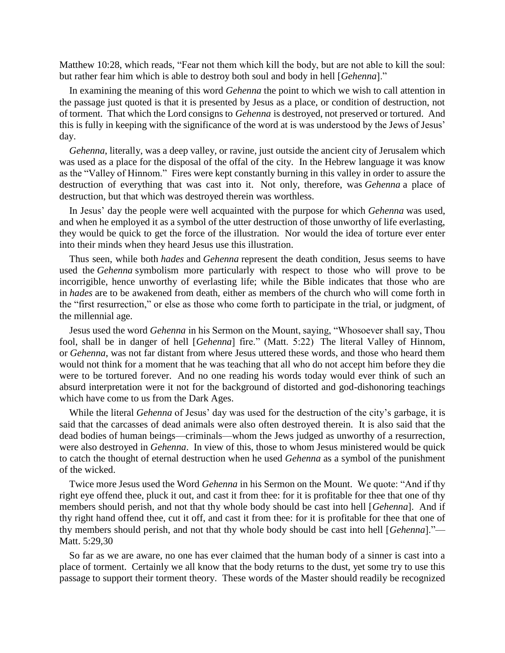Matthew 10:28, which reads, "Fear not them which kill the body, but are not able to kill the soul: but rather fear him which is able to destroy both soul and body in hell [*Gehenna*]."

In examining the meaning of this word *Gehenna* the point to which we wish to call attention in the passage just quoted is that it is presented by Jesus as a place, or condition of destruction, not of torment. That which the Lord consigns to *Gehenna* is destroyed, not preserved or tortured. And this is fully in keeping with the significance of the word at is was understood by the Jews of Jesus' day.

*Gehenna*, literally, was a deep valley, or ravine, just outside the ancient city of Jerusalem which was used as a place for the disposal of the offal of the city. In the Hebrew language it was know as the "Valley of Hinnom." Fires were kept constantly burning in this valley in order to assure the destruction of everything that was cast into it. Not only, therefore, was *Gehenna* a place of destruction, but that which was destroyed therein was worthless.

In Jesus' day the people were well acquainted with the purpose for which *Gehenna* was used, and when he employed it as a symbol of the utter destruction of those unworthy of life everlasting, they would be quick to get the force of the illustration. Nor would the idea of torture ever enter into their minds when they heard Jesus use this illustration.

Thus seen, while both *hades* and *Gehenna* represent the death condition, Jesus seems to have used the *Gehenna* symbolism more particularly with respect to those who will prove to be incorrigible, hence unworthy of everlasting life; while the Bible indicates that those who are in *hades* are to be awakened from death, either as members of the church who will come forth in the "first resurrection," or else as those who come forth to participate in the trial, or judgment, of the millennial age.

Jesus used the word *Gehenna* in his Sermon on the Mount, saying, "Whosoever shall say, Thou fool, shall be in danger of hell [*Gehenna*] fire." (Matt. 5:22) The literal Valley of Hinnom, or *Gehenna*, was not far distant from where Jesus uttered these words, and those who heard them would not think for a moment that he was teaching that all who do not accept him before they die were to be tortured forever. And no one reading his words today would ever think of such an absurd interpretation were it not for the background of distorted and god-dishonoring teachings which have come to us from the Dark Ages.

While the literal *Gehenna* of Jesus' day was used for the destruction of the city's garbage, it is said that the carcasses of dead animals were also often destroyed therein. It is also said that the dead bodies of human beings—criminals—whom the Jews judged as unworthy of a resurrection, were also destroyed in *Gehenna*. In view of this, those to whom Jesus ministered would be quick to catch the thought of eternal destruction when he used *Gehenna* as a symbol of the punishment of the wicked.

Twice more Jesus used the Word *Gehenna* in his Sermon on the Mount. We quote: "And if thy right eye offend thee, pluck it out, and cast it from thee: for it is profitable for thee that one of thy members should perish, and not that thy whole body should be cast into hell [*Gehenna*]. And if thy right hand offend thee, cut it off, and cast it from thee: for it is profitable for thee that one of thy members should perish, and not that thy whole body should be cast into hell [*Gehenna*]."— Matt. 5:29,30

So far as we are aware, no one has ever claimed that the human body of a sinner is cast into a place of torment. Certainly we all know that the body returns to the dust, yet some try to use this passage to support their torment theory. These words of the Master should readily be recognized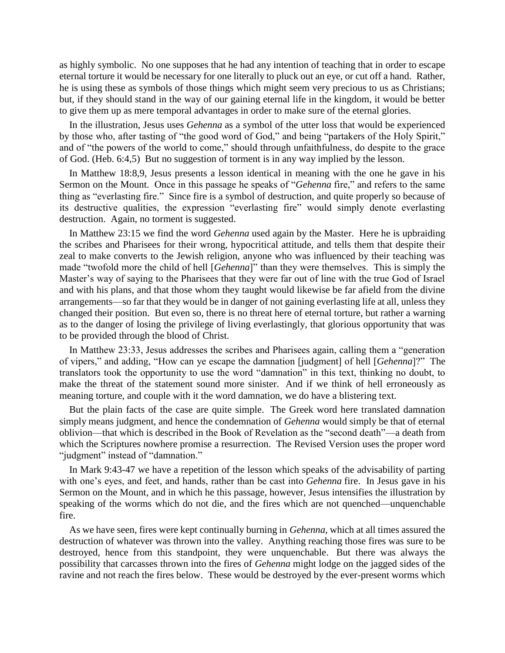as highly symbolic. No one supposes that he had any intention of teaching that in order to escape eternal torture it would be necessary for one literally to pluck out an eye, or cut off a hand. Rather, he is using these as symbols of those things which might seem very precious to us as Christians; but, if they should stand in the way of our gaining eternal life in the kingdom, it would be better to give them up as mere temporal advantages in order to make sure of the eternal glories.

In the illustration, Jesus uses *Gehenna* as a symbol of the utter loss that would be experienced by those who, after tasting of "the good word of God," and being "partakers of the Holy Spirit," and of "the powers of the world to come," should through unfaithfulness, do despite to the grace of God. (Heb. 6:4,5) But no suggestion of torment is in any way implied by the lesson.

In Matthew 18:8,9, Jesus presents a lesson identical in meaning with the one he gave in his Sermon on the Mount. Once in this passage he speaks of "*Gehenna* fire," and refers to the same thing as "everlasting fire." Since fire is a symbol of destruction, and quite properly so because of its destructive qualities, the expression "everlasting fire" would simply denote everlasting destruction. Again, no torment is suggested.

In Matthew 23:15 we find the word *Gehenna* used again by the Master. Here he is upbraiding the scribes and Pharisees for their wrong, hypocritical attitude, and tells them that despite their zeal to make converts to the Jewish religion, anyone who was influenced by their teaching was made "twofold more the child of hell [*Gehenna*]" than they were themselves. This is simply the Master's way of saying to the Pharisees that they were far out of line with the true God of Israel and with his plans, and that those whom they taught would likewise be far afield from the divine arrangements—so far that they would be in danger of not gaining everlasting life at all, unless they changed their position. But even so, there is no threat here of eternal torture, but rather a warning as to the danger of losing the privilege of living everlastingly, that glorious opportunity that was to be provided through the blood of Christ.

In Matthew 23:33, Jesus addresses the scribes and Pharisees again, calling them a "generation of vipers," and adding, "How can ye escape the damnation [judgment] of hell [*Gehenna*]?" The translators took the opportunity to use the word "damnation" in this text, thinking no doubt, to make the threat of the statement sound more sinister. And if we think of hell erroneously as meaning torture, and couple with it the word damnation, we do have a blistering text.

But the plain facts of the case are quite simple. The Greek word here translated damnation simply means judgment, and hence the condemnation of *Gehenna* would simply be that of eternal oblivion—that which is described in the Book of Revelation as the "second death"—a death from which the Scriptures nowhere promise a resurrection. The Revised Version uses the proper word "judgment" instead of "damnation."

In Mark 9:43-47 we have a repetition of the lesson which speaks of the advisability of parting with one's eyes, and feet, and hands, rather than be cast into *Gehenna* fire. In Jesus gave in his Sermon on the Mount, and in which he this passage, however, Jesus intensifies the illustration by speaking of the worms which do not die, and the fires which are not quenched—unquenchable fire.

As we have seen, fires were kept continually burning in *Gehenna*, which at all times assured the destruction of whatever was thrown into the valley. Anything reaching those fires was sure to be destroyed, hence from this standpoint, they were unquenchable. But there was always the possibility that carcasses thrown into the fires of *Gehenna* might lodge on the jagged sides of the ravine and not reach the fires below. These would be destroyed by the ever-present worms which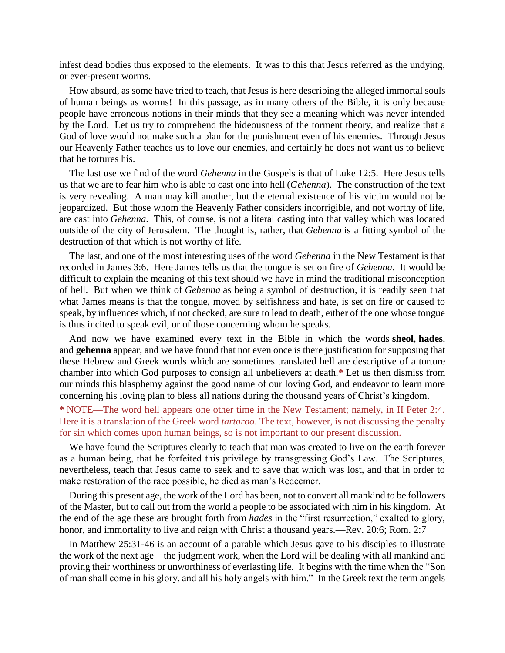infest dead bodies thus exposed to the elements. It was to this that Jesus referred as the undying, or ever-present worms.

How absurd, as some have tried to teach, that Jesus is here describing the alleged immortal souls of human beings as worms! In this passage, as in many others of the Bible, it is only because people have erroneous notions in their minds that they see a meaning which was never intended by the Lord. Let us try to comprehend the hideousness of the torment theory, and realize that a God of love would not make such a plan for the punishment even of his enemies. Through Jesus our Heavenly Father teaches us to love our enemies, and certainly he does not want us to believe that he tortures his.

The last use we find of the word *Gehenna* in the Gospels is that of Luke 12:5. Here Jesus tells us that we are to fear him who is able to cast one into hell (*Gehenna*). The construction of the text is very revealing. A man may kill another, but the eternal existence of his victim would not be jeopardized. But those whom the Heavenly Father considers incorrigible, and not worthy of life, are cast into *Gehenna*. This, of course, is not a literal casting into that valley which was located outside of the city of Jerusalem. The thought is, rather, that *Gehenna* is a fitting symbol of the destruction of that which is not worthy of life.

The last, and one of the most interesting uses of the word *Gehenna* in the New Testament is that recorded in James 3:6. Here James tells us that the tongue is set on fire of *Gehenna*. It would be difficult to explain the meaning of this text should we have in mind the traditional misconception of hell. But when we think of *Gehenna* as being a symbol of destruction, it is readily seen that what James means is that the tongue, moved by selfishness and hate, is set on fire or caused to speak, by influences which, if not checked, are sure to lead to death, either of the one whose tongue is thus incited to speak evil, or of those concerning whom he speaks.

And now we have examined every text in the Bible in which the words **sheol**, **hades**, and **gehenna** appear, and we have found that not even once is there justification for supposing that these Hebrew and Greek words which are sometimes translated hell are descriptive of a torture chamber into which God purposes to consign all unbelievers at death.**\*** Let us then dismiss from our minds this blasphemy against the good name of our loving God, and endeavor to learn more concerning his loving plan to bless all nations during the thousand years of Christ's kingdom.

#### **\*** NOTE—The word hell appears one other time in the New Testament; namely, in II Peter 2:4. Here it is a translation of the Greek word *tartaroo*. The text, however, is not discussing the penalty for sin which comes upon human beings, so is not important to our present discussion.

We have found the Scriptures clearly to teach that man was created to live on the earth forever as a human being, that he forfeited this privilege by transgressing God's Law. The Scriptures, nevertheless, teach that Jesus came to seek and to save that which was lost, and that in order to make restoration of the race possible, he died as man's Redeemer.

During this present age, the work of the Lord has been, not to convert all mankind to be followers of the Master, but to call out from the world a people to be associated with him in his kingdom. At the end of the age these are brought forth from *hades* in the "first resurrection," exalted to glory, honor, and immortality to live and reign with Christ a thousand years.—Rev. 20:6; Rom. 2:7

In Matthew 25:31-46 is an account of a parable which Jesus gave to his disciples to illustrate the work of the next age—the judgment work, when the Lord will be dealing with all mankind and proving their worthiness or unworthiness of everlasting life. It begins with the time when the "Son of man shall come in his glory, and all his holy angels with him." In the Greek text the term angels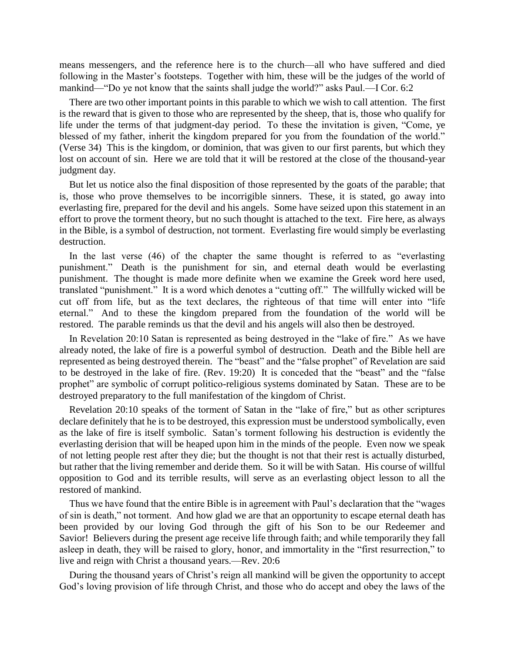means messengers, and the reference here is to the church—all who have suffered and died following in the Master's footsteps. Together with him, these will be the judges of the world of mankind—"Do ye not know that the saints shall judge the world?" asks Paul.—I Cor. 6:2

There are two other important points in this parable to which we wish to call attention. The first is the reward that is given to those who are represented by the sheep, that is, those who qualify for life under the terms of that judgment-day period. To these the invitation is given, "Come, ye blessed of my father, inherit the kingdom prepared for you from the foundation of the world." (Verse 34) This is the kingdom, or dominion, that was given to our first parents, but which they lost on account of sin. Here we are told that it will be restored at the close of the thousand-year judgment day.

But let us notice also the final disposition of those represented by the goats of the parable; that is, those who prove themselves to be incorrigible sinners. These, it is stated, go away into everlasting fire, prepared for the devil and his angels. Some have seized upon this statement in an effort to prove the torment theory, but no such thought is attached to the text. Fire here, as always in the Bible, is a symbol of destruction, not torment. Everlasting fire would simply be everlasting destruction.

In the last verse (46) of the chapter the same thought is referred to as "everlasting punishment." Death is the punishment for sin, and eternal death would be everlasting punishment. The thought is made more definite when we examine the Greek word here used, translated "punishment." It is a word which denotes a "cutting off." The willfully wicked will be cut off from life, but as the text declares, the righteous of that time will enter into "life eternal." And to these the kingdom prepared from the foundation of the world will be restored. The parable reminds us that the devil and his angels will also then be destroyed.

In Revelation 20:10 Satan is represented as being destroyed in the "lake of fire." As we have already noted, the lake of fire is a powerful symbol of destruction. Death and the Bible hell are represented as being destroyed therein. The "beast" and the "false prophet" of Revelation are said to be destroyed in the lake of fire. (Rev. 19:20) It is conceded that the "beast" and the "false prophet" are symbolic of corrupt politico-religious systems dominated by Satan. These are to be destroyed preparatory to the full manifestation of the kingdom of Christ.

Revelation 20:10 speaks of the torment of Satan in the "lake of fire," but as other scriptures declare definitely that he is to be destroyed, this expression must be understood symbolically, even as the lake of fire is itself symbolic. Satan's torment following his destruction is evidently the everlasting derision that will be heaped upon him in the minds of the people. Even now we speak of not letting people rest after they die; but the thought is not that their rest is actually disturbed, but rather that the living remember and deride them. So it will be with Satan. His course of willful opposition to God and its terrible results, will serve as an everlasting object lesson to all the restored of mankind.

Thus we have found that the entire Bible is in agreement with Paul's declaration that the "wages of sin is death," not torment. And how glad we are that an opportunity to escape eternal death has been provided by our loving God through the gift of his Son to be our Redeemer and Savior! Believers during the present age receive life through faith; and while temporarily they fall asleep in death, they will be raised to glory, honor, and immortality in the "first resurrection," to live and reign with Christ a thousand years.—Rev. 20:6

During the thousand years of Christ's reign all mankind will be given the opportunity to accept God's loving provision of life through Christ, and those who do accept and obey the laws of the